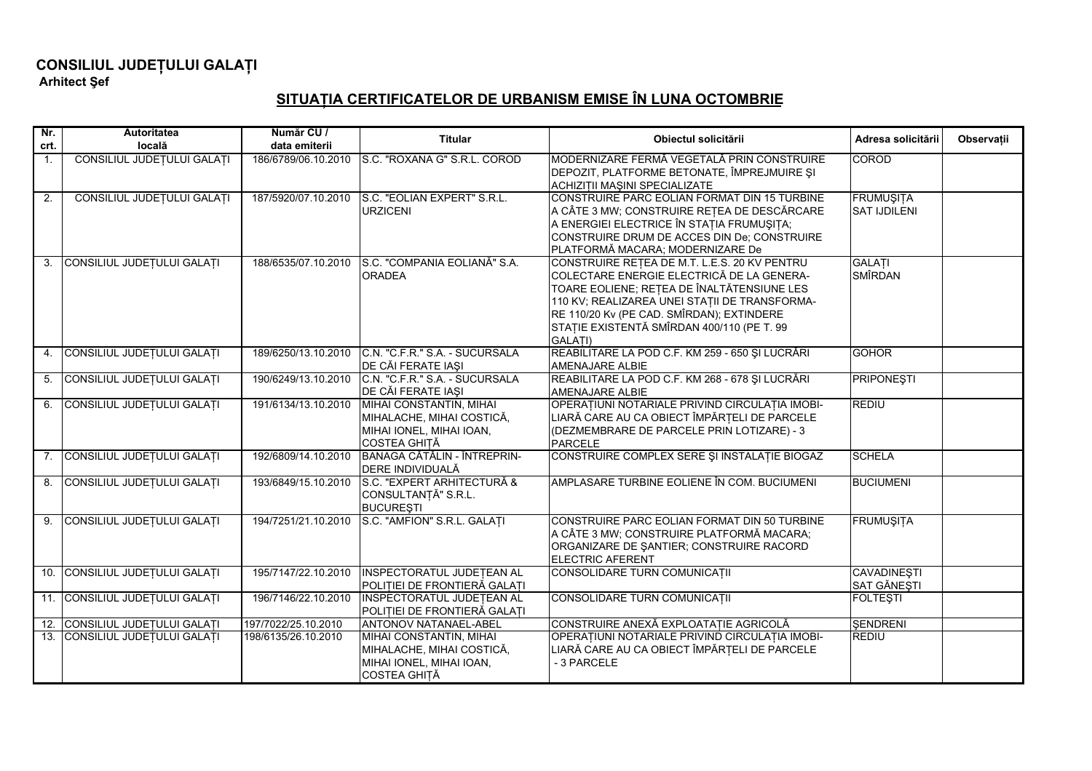## CONSILIUL JUDEȚULUI GALAȚI<br>Arhitect Șef

## SITUAȚIA CERTIFICATELOR DE URBANISM EMISE ÎN LUNA OCTOMBRIE

| $Nr$ .         | Autoritatea                    | Număr CU /          | <b>Titular</b>                                                                                          | Obiectul solicitării                                                                                                                                                                                                                                                                           | Adresa solicitării                | Observații |
|----------------|--------------------------------|---------------------|---------------------------------------------------------------------------------------------------------|------------------------------------------------------------------------------------------------------------------------------------------------------------------------------------------------------------------------------------------------------------------------------------------------|-----------------------------------|------------|
| crt.           | locală                         | data emiterii       |                                                                                                         |                                                                                                                                                                                                                                                                                                |                                   |            |
| $\mathbf{1}$ . | CONSILIUL JUDEȚULUI GALAȚI     | 186/6789/06.10.2010 | IS.C. "ROXANA G" S.R.L. COROD                                                                           | MODERNIZARE FERMĂ VEGETALĂ PRIN CONSTRUIRE<br>DEPOZIT, PLATFORME BETONATE, ÎMPREJMUIRE ȘI<br>ACHIZIȚII MAȘINI SPECIALIZATE                                                                                                                                                                     | <b>COROD</b>                      |            |
| 2.             | CONSILIUL JUDEȚULUI GALAȚI     | 187/5920/07.10.2010 | S.C. "EOLIAN EXPERT" S.R.L.<br><b>URZICENI</b>                                                          | CONSTRUIRE PARC EOLIAN FORMAT DIN 15 TURBINE<br>A CÂTE 3 MW; CONSTRUIRE REȚEA DE DESCĂRCARE<br>A ENERGIEI ELECTRICE ÎN STAȚIA FRUMUȘITA;<br>CONSTRUIRE DRUM DE ACCES DIN De; CONSTRUIRE<br>PLATFORMĂ MACARA; MODERNIZARE De                                                                    | <b>FRUMUSITA</b><br>SAT IJDILENI  |            |
| 3.             | CONSILIUL JUDEȚULUI GALAȚI     | 188/6535/07.10.2010 | S.C. "COMPANIA EOLIANĂ" S.A.<br><b>ORADEA</b>                                                           | CONSTRUIRE RETEA DE M.T. L.E.S. 20 KV PENTRU<br>COLECTARE ENERGIE ELECTRICĂ DE LA GENERA-<br>TOARE EOLIENE; REȚEA DE ÎNALTĂTENSIUNE LES<br>110 KV; REALIZAREA UNEI STATII DE TRANSFORMA-<br>RE 110/20 Kv (PE CAD. SMÎRDAN); EXTINDERE<br>STATIE EXISTENTĂ SMÎRDAN 400/110 (PE T. 99<br>GALATI) | <b>GALATI</b><br><b>SMÎRDAN</b>   |            |
| 4.             | CONSILIUL JUDEȚULUI GALAȚI     | 189/6250/13.10.2010 | C.N. "C.F.R." S.A. - SUCURSALA<br>DE CĂI FERATE IAȘI                                                    | REABILITARE LA POD C.F. KM 259 - 650 ȘI LUCRĂRI<br>AMENAJARE ALBIE                                                                                                                                                                                                                             | <b>GOHOR</b>                      |            |
| 5.             | CONSILIUL JUDEȚULUI GALAȚI     | 190/6249/13.10.2010 | C.N. "C.F.R." S.A. - SUCURSALA<br>DE CĂI FERATE IAȘI                                                    | REABILITARE LA POD C.F. KM 268 - 678 ȘI LUCRĂRI<br>AMENAJARE ALBIE                                                                                                                                                                                                                             | <b>PRIPONESTI</b>                 |            |
| 6.             | CONSILIUL JUDEȚULUI GALAȚI     | 191/6134/13.10.2010 | MIHAI CONSTANTIN, MIHAI<br>MIHALACHE, MIHAI COSTICĂ,<br>MIHAI IONEL, MIHAI IOAN,<br><b>COSTEA GHITĂ</b> | OPERAȚIUNI NOTARIALE PRIVIND CIRCULAȚIA IMOBI-<br>LIARĂ CARE AU CA OBIECT ÎMPĂRȚELI DE PARCELE<br>(DEZMEMBRARE DE PARCELE PRIN LOTIZARE) - 3<br><b>PARCELE</b>                                                                                                                                 | <b>REDIU</b>                      |            |
|                | 7. CONSILIUL JUDEȚULUI GALAȚI  | 192/6809/14.10.2010 | BANAGA CĂTĂLIN - ÎNTREPRIN-<br>DERE INDIVIDUALĂ                                                         | CONSTRUIRE COMPLEX SERE ȘI INSTALAȚIE BIOGAZ                                                                                                                                                                                                                                                   | <b>SCHELA</b>                     |            |
|                | 8. CONSILIUL JUDEȚULUI GALAȚI  | 193/6849/15.10.2010 | S.C. "EXPERT ARHITECTURĂ &<br>CONSULTANȚĂ" S.R.L.<br><b>BUCURESTI</b>                                   | AMPLASARE TURBINE EOLIENE ÎN COM. BUCIUMENI                                                                                                                                                                                                                                                    | <b>BUCIUMENI</b>                  |            |
| 9.             | CONSILIUL JUDEȚULUI GALAȚI     | 194/7251/21.10.2010 | S.C. "AMFION" S.R.L. GALATI                                                                             | CONSTRUIRE PARC EOLIAN FORMAT DIN 50 TURBINE<br>A CÂTE 3 MW; CONSTRUIRE PLATFORMĂ MACARA;<br>ORGANIZARE DE ŞANTIER; CONSTRUIRE RACORD<br><b>ELECTRIC AFERENT</b>                                                                                                                               | <b>FRUMUŞITA</b>                  |            |
|                | 10. CONSILIUL JUDEȚULUI GALAȚI | 195/7147/22.10.2010 | <b>INSPECTORATUL JUDETEAN AL</b><br>POLITIEI DE FRONTIERĂ GALATI                                        | CONSOLIDARE TURN COMUNICATII                                                                                                                                                                                                                                                                   | <b>CAVADINESTI</b><br>SAT GĂNEȘTI |            |
|                | 11. CONSILIUL JUDEȚULUI GALAȚI | 196/7146/22.10.2010 | <b>INSPECTORATUL JUDETEAN AL</b><br>POLITIEI DE FRONTIERĂ GALAȚI                                        | CONSOLIDARE TURN COMUNICATII                                                                                                                                                                                                                                                                   | <b>FOLTESTI</b>                   |            |
|                | 12. CONSILIUL JUDEȚULUI GALAȚI | 197/7022/25.10.2010 | <b>ANTONOV NATANAEL-ABEL</b>                                                                            | CONSTRUIRE ANEXĂ EXPLOATAȚIE AGRICOLĂ                                                                                                                                                                                                                                                          | <b>SENDRENI</b>                   |            |
|                | 13. CONSILIUL JUDEȚULUI GALAȚI | 198/6135/26.10.2010 | MIHAI CONSTANTIN, MIHAI<br>MIHALACHE, MIHAI COSTICĂ,<br>MIHAI IONEL, MIHAI IOAN,<br><b>COSTEA GHITĂ</b> | OPERATIUNI NOTARIALE PRIVIND CIRCULATIA IMOBI-<br>LIARĂ CARE AU CA OBIECT ÎMPĂRȚELI DE PARCELE<br>-3 PARCELE                                                                                                                                                                                   | <b>REDIU</b>                      |            |